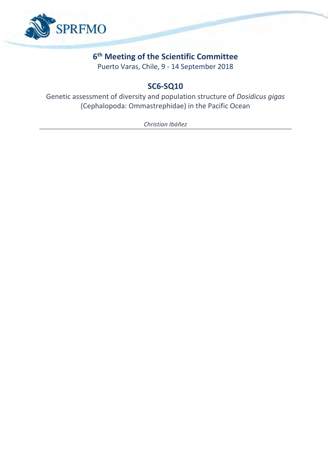

## **6 th Meeting of the Scientific Committee**

Puerto Varas, Chile, 9 - 14 September 2018

# **SC6-SQ10**

Genetic assessment of diversity and population structure of *Dosidicus gigas* (Cephalopoda: Ommastrephidae) in the Pacific Ocean

*Christian Ibáñez*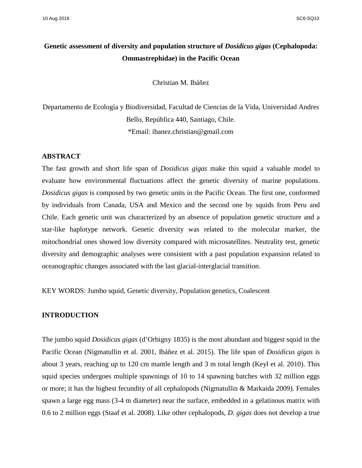### **Genetic assessment of diversity and population structure of** *Dosidicus gigas* **(Cephalopoda: Ommastrephidae) in the Pacific Ocean**

Christian M. Ibáñez

Departamento de Ecología y Biodiversidad, Facultad de Ciencias de la Vida, Universidad Andres Bello, República 440, Santiago, Chile. \*Email: ibanez.christian@gmail.com

#### **ABSTRACT**

The fast growth and short life span of *Dosidicus gigas* make this squid a valuable model to evaluate how environmental fluctuations affect the genetic diversity of marine populations. *Dosidicus gigas* is composed by two genetic units in the Pacific Ocean. The first one, conformed by individuals from Canada, USA and Mexico and the second one by squids from Peru and Chile. Each genetic unit was characterized by an absence of population genetic structure and a star-like haplotype network. Genetic diversity was related to the molecular marker, the mitochondrial ones showed low diversity compared with microsatellites. Neutrality test, genetic diversity and demographic analyses were consistent with a past population expansion related to oceanographic changes associated with the last glacial-interglacial transition.

KEY WORDS: Jumbo squid, Genetic diversity, Population genetics, Coalescent

#### **INTRODUCTION**

The jumbo squid *Dosidicus gigas* (d'Orbigny 1835) is the most abundant and biggest squid in the Pacific Ocean (Nigmatullin et al. 2001, Ibáñez et al. 2015). The life span of *Dosidicus gigas* is about 3 years, reaching up to 120 cm mantle length and 3 m total length (Keyl et al. 2010). This squid species undergoes multiple spawnings of 10 to 14 spawning batches with 32 million eggs or more; it has the highest fecundity of all cephalopods (Nigmatullin & Markaida 2009). Females spawn a large egg mass (3-4 m diameter) near the surface, embedded in a gelatinous matrix with 0.6 to 2 million eggs (Staaf et al. 2008). Like other cephalopods, *D. gigas* does not develop a true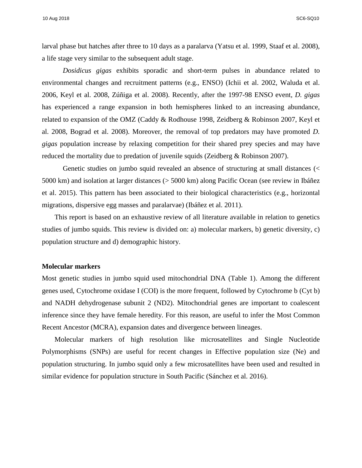10 Aug 2018 SC6-SQ10

larval phase but hatches after three to 10 days as a paralarva (Yatsu et al. 1999, Staaf et al. 2008), a life stage very similar to the subsequent adult stage.

*Dosidicus gigas* exhibits sporadic and short-term pulses in abundance related to environmental changes and recruitment patterns (e.g., ENSO) (Ichii et al. 2002, Waluda et al. 2006, Keyl et al. 2008, Zúñiga et al. 2008). Recently, after the 1997-98 ENSO event, *D. gigas* has experienced a range expansion in both hemispheres linked to an increasing abundance, related to expansion of the OMZ (Caddy & Rodhouse 1998, Zeidberg & Robinson 2007, Keyl et al. 2008, Bograd et al. 2008). Moreover, the removal of top predators may have promoted *D. gigas* population increase by relaxing competition for their shared prey species and may have reduced the mortality due to predation of juvenile squids (Zeidberg & Robinson 2007).

Genetic studies on jumbo squid revealed an absence of structuring at small distances (< 5000 km) and isolation at larger distances (> 5000 km) along Pacific Ocean (see review in Ibáñez et al. 2015). This pattern has been associated to their biological characteristics (e.g., horizontal migrations, dispersive egg masses and paralarvae) (Ibáñez et al. 2011).

This report is based on an exhaustive review of all literature available in relation to genetics studies of jumbo squids. This review is divided on: a) molecular markers, b) genetic diversity, c) population structure and d) demographic history.

#### **Molecular markers**

Most genetic studies in jumbo squid used mitochondrial DNA (Table 1). Among the different genes used, Cytochrome oxidase I (COI) is the more frequent, followed by Cytochrome b (Cyt b) and NADH dehydrogenase subunit 2 (ND2). Mitochondrial genes are important to coalescent inference since they have female heredity. For this reason, are useful to infer the Most Common Recent Ancestor (MCRA), expansion dates and divergence between lineages.

Molecular markers of high resolution like microsatellites and Single Nucleotide Polymorphisms (SNPs) are useful for recent changes in Effective population size (Ne) and population structuring. In jumbo squid only a few microsatellites have been used and resulted in similar evidence for population structure in South Pacific (Sánchez et al. 2016).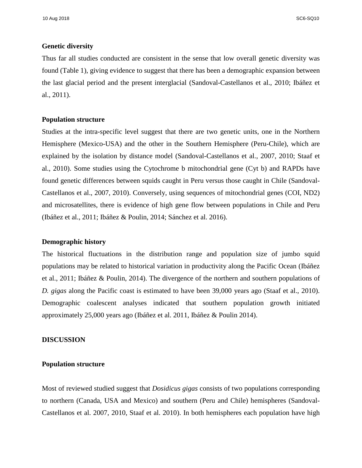#### **Genetic diversity**

Thus far all studies conducted are consistent in the sense that low overall genetic diversity was found (Table 1), giving evidence to suggest that there has been a demographic expansion between the last glacial period and the present interglacial (Sandoval-Castellanos et al., 2010; Ibáñez et al., 2011).

#### **Population structure**

Studies at the intra-specific level suggest that there are two genetic units, one in the Northern Hemisphere (Mexico-USA) and the other in the Southern Hemisphere (Peru-Chile), which are explained by the isolation by distance model (Sandoval-Castellanos et al., 2007, 2010; Staaf et al., 2010). Some studies using the Cytochrome b mitochondrial gene (Cyt b) and RAPDs have found genetic differences between squids caught in Peru versus those caught in Chile (Sandoval-Castellanos et al., 2007, 2010). Conversely, using sequences of mitochondrial genes (COI, ND2) and microsatellites, there is evidence of high gene flow between populations in Chile and Peru (Ibáñez et al., 2011; Ibáñez & Poulin, 2014; Sánchez et al. 2016).

#### **Demographic history**

The historical fluctuations in the distribution range and population size of jumbo squid populations may be related to historical variation in productivity along the Pacific Ocean (Ibáñez et al., 2011; Ibáñez & Poulin, 2014). The divergence of the northern and southern populations of *D. gigas* along the Pacific coast is estimated to have been 39,000 years ago (Staaf et al., 2010). Demographic coalescent analyses indicated that southern population growth initiated approximately 25,000 years ago (Ibáñez et al. 2011, Ibáñez & Poulin 2014).

#### **DISCUSSION**

### **Population structure**

Most of reviewed studied suggest that *Dosidicus gigas* consists of two populations corresponding to northern (Canada, USA and Mexico) and southern (Peru and Chile) hemispheres (Sandoval-Castellanos et al. 2007, 2010, Staaf et al. 2010). In both hemispheres each population have high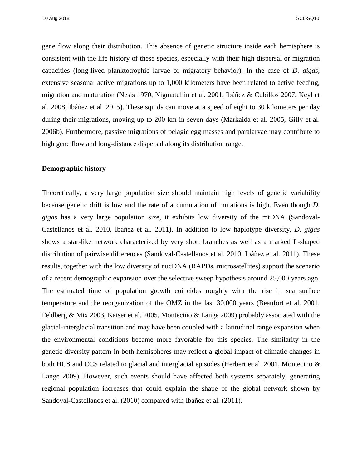10 Aug 2018 SC6-SQ10

gene flow along their distribution. This absence of genetic structure inside each hemisphere is consistent with the life history of these species, especially with their high dispersal or migration capacities (long-lived planktotrophic larvae or migratory behavior). In the case of *D. gigas*, extensive seasonal active migrations up to 1,000 kilometers have been related to active feeding, migration and maturation (Nesis 1970, Nigmatullin et al. 2001, Ibáñez & Cubillos 2007, Keyl et al. 2008, Ibáñez et al. 2015). These squids can move at a speed of eight to 30 kilometers per day during their migrations, moving up to 200 km in seven days (Markaida et al. 2005, Gilly et al. 2006b). Furthermore, passive migrations of pelagic egg masses and paralarvae may contribute to high gene flow and long-distance dispersal along its distribution range.

#### **Demographic history**

Theoretically, a very large population size should maintain high levels of genetic variability because genetic drift is low and the rate of accumulation of mutations is high. Even though *D. gigas* has a very large population size, it exhibits low diversity of the mtDNA (Sandoval-Castellanos et al. 2010, Ibáñez et al. 2011). In addition to low haplotype diversity, *D. gigas* shows a star-like network characterized by very short branches as well as a marked L-shaped distribution of pairwise differences (Sandoval-Castellanos et al. 2010, Ibáñez et al. 2011). These results, together with the low diversity of nucDNA (RAPDs, microsatellites) support the scenario of a recent demographic expansion over the selective sweep hypothesis around 25,000 years ago. The estimated time of population growth coincides roughly with the rise in sea surface temperature and the reorganization of the OMZ in the last 30,000 years (Beaufort et al. 2001, Feldberg & Mix 2003, Kaiser et al. 2005, Montecino & Lange 2009) probably associated with the glacial-interglacial transition and may have been coupled with a latitudinal range expansion when the environmental conditions became more favorable for this species. The similarity in the genetic diversity pattern in both hemispheres may reflect a global impact of climatic changes in both HCS and CCS related to glacial and interglacial episodes (Herbert et al. 2001, Montecino & Lange 2009). However, such events should have affected both systems separately, generating regional population increases that could explain the shape of the global network shown by Sandoval-Castellanos et al. (2010) compared with Ibáñez et al. (2011).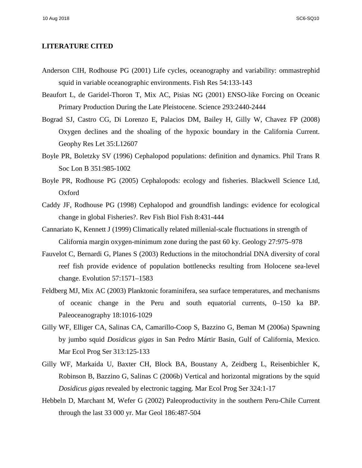#### **LITERATURE CITED**

- Anderson CIH, Rodhouse PG (2001) Life cycles, oceanography and variability: ommastrephid squid in variable oceanographic environments. Fish Res 54:133-143
- Beaufort L, de Garidel-Thoron T, Mix AC, Pisias NG (2001) ENSO-like Forcing on Oceanic Primary Production During the Late Pleistocene. Science 293:2440-2444
- Bograd SJ, Castro CG, Di Lorenzo E, Palacios DM, Bailey H, Gilly W, Chavez FP (2008) Oxygen declines and the shoaling of the hypoxic boundary in the California Current. Geophy Res Let 35:L12607
- Boyle PR, Boletzky SV (1996) Cephalopod populations: definition and dynamics. Phil Trans R Soc Lon B 351:985-1002
- Boyle PR, Rodhouse PG (2005) Cephalopods: ecology and fisheries. Blackwell Science Ltd, Oxford
- Caddy JF, Rodhouse PG (1998) Cephalopod and groundfish landings: evidence for ecological change in global Fisheries?. Rev Fish Biol Fish 8:431-444
- Cannariato K, Kennett J (1999) Climatically related millenial-scale fluctuations in strength of California margin oxygen-minimum zone during the past 60 ky. Geology 27:975–978
- Fauvelot C, Bernardi G, Planes S (2003) Reductions in the mitochondrial DNA diversity of coral reef fish provide evidence of population bottlenecks resulting from Holocene sea-level change. Evolution 57:1571–1583
- Feldberg MJ, Mix AC (2003) Planktonic foraminifera, sea surface temperatures, and mechanisms of oceanic change in the Peru and south equatorial currents, 0–150 ka BP. Paleoceanography 18:1016-1029
- Gilly WF, Elliger CA, Salinas CA, Camarillo-Coop S, Bazzino G, Beman M (2006a) Spawning by jumbo squid *Dosidicus gigas* in San Pedro Mártir Basin, Gulf of California, Mexico. Mar Ecol Prog Ser 313:125-133
- Gilly WF, Markaida U, Baxter CH, Block BA, Boustany A, Zeidberg L, Reisenbichler K, Robinson B, Bazzino G, Salinas C (2006b) Vertical and horizontal migrations by the squid *Dosidicus gigas* revealed by electronic tagging. Mar Ecol Prog Ser 324:1-17
- Hebbeln D, Marchant M, Wefer G (2002) Paleoproductivity in the southern Peru-Chile Current through the last 33 000 yr. Mar Geol 186:487-504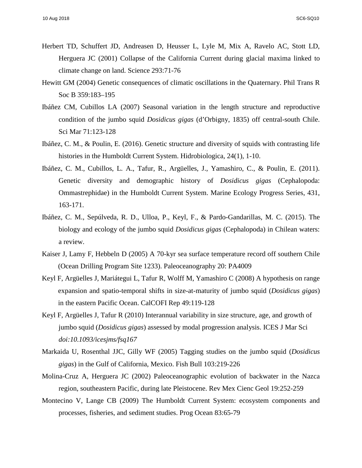- Herbert TD, Schuffert JD, Andreasen D, Heusser L, Lyle M, Mix A, Ravelo AC, Stott LD, Herguera JC (2001) Collapse of the California Current during glacial maxima linked to climate change on land. Science 293:71-76
- Hewitt GM (2004) Genetic consequences of climatic oscillations in the Quaternary. Phil Trans R Soc B 359:183–195
- Ibáñez CM, Cubillos LA (2007) Seasonal variation in the length structure and reproductive condition of the jumbo squid *Dosidicus gigas* (d'Orbigny, 1835) off central-south Chile. Sci Mar 71:123-128
- Ibáñez, C. M., & Poulin, E. (2016). Genetic structure and diversity of squids with contrasting life histories in the Humboldt Current System. Hidrobiologica, 24(1), 1-10.
- Ibáñez, C. M., Cubillos, L. A., Tafur, R., Argüelles, J., Yamashiro, C., & Poulin, E. (2011). Genetic diversity and demographic history of *Dosidicus gigas* (Cephalopoda: Ommastrephidae) in the Humboldt Current System. Marine Ecology Progress Series, 431, 163-171.
- Ibáñez, C. M., Sepúlveda, R. D., Ulloa, P., Keyl, F., & Pardo-Gandarillas, M. C. (2015). The biology and ecology of the jumbo squid *Dosidicus gigas* (Cephalopoda) in Chilean waters: a review.
- Kaiser J, Lamy F, Hebbeln D (2005) A 70-kyr sea surface temperature record off southern Chile (Ocean Drilling Program Site 1233). Paleoceanography 20: PA4009
- Keyl F, Argüelles J, Mariátegui L, Tafur R, Wolff M, Yamashiro C (2008) A hypothesis on range expansion and spatio-temporal shifts in size-at-maturity of jumbo squid (*Dosidicus gigas*) in the eastern Pacific Ocean. CalCOFI Rep 49:119-128
- Keyl F, Argüelles J, Tafur R (2010) Interannual variability in size structure, age, and growth of jumbo squid (*Dosidicus gigas*) assessed by modal progression analysis. ICES J Mar Sci *doi:10.1093/icesjms/fsq167*
- Markaida U, Rosenthal JJC, Gilly WF (2005) Tagging studies on the jumbo squid (*Dosidicus gigas*) in the Gulf of California, Mexico. Fish Bull 103:219-226
- Molina-Cruz A, Herguera JC (2002) Paleoceanographic evolution of backwater in the Nazca region, southeastern Pacific, during late Pleistocene. Rev Mex Cienc Geol 19:252-259
- Montecino V, Lange CB (2009) The Humboldt Current System: ecosystem components and processes, fisheries, and sediment studies. Prog Ocean 83:65-79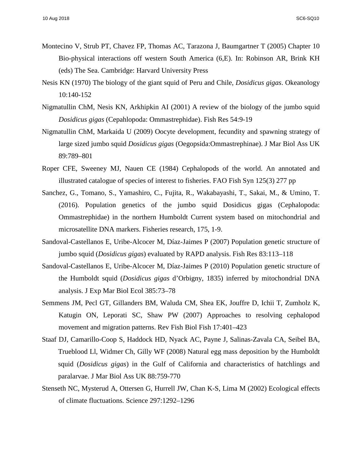- Montecino V, Strub PT, Chavez FP, Thomas AC, Tarazona J, Baumgartner T (2005) Chapter 10 Bio-physical interactions off western South America (6,E). In: Robinson AR, Brink KH (eds) The Sea. Cambridge: Harvard University Press
- Nesis KN (1970) The biology of the giant squid of Peru and Chile, *Dosidicus gigas*. Okeanology 10:140-152
- Nigmatullin ChM, Nesis KN, Arkhipkin AI (2001) A review of the biology of the jumbo squid *Dosidicus gigas* (Cepahlopoda: Ommastrephidae). Fish Res 54:9-19
- Nigmatullin ChM, Markaida U (2009) Oocyte development, fecundity and spawning strategy of large sized jumbo squid *Dosidicus gigas* (Oegopsida:Ommastrephinae). J Mar Biol Ass UK 89:789–801
- Roper CFE, Sweeney MJ, Nauen CE (1984) Cephalopods of the world. An annotated and illustrated catalogue of species of interest to fisheries. FAO Fish Syn 125(3) 277 pp
- Sanchez, G., Tomano, S., Yamashiro, C., Fujita, R., Wakabayashi, T., Sakai, M., & Umino, T. (2016). Population genetics of the jumbo squid Dosidicus gigas (Cephalopoda: Ommastrephidae) in the northern Humboldt Current system based on mitochondrial and microsatellite DNA markers. Fisheries research, 175, 1-9.
- Sandoval-Castellanos E, Uribe-Alcocer M, Díaz-Jaimes P (2007) Population genetic structure of jumbo squid (*Dosidicus gigas*) evaluated by RAPD analysis. Fish Res 83:113–118
- Sandoval-Castellanos E, Uribe-Alcocer M, Díaz-Jaimes P (2010) Population genetic structure of the Humboldt squid (*Dosidicus gigas* d'Orbigny, 1835) inferred by mitochondrial DNA analysis. J Exp Mar Biol Ecol 385:73–78
- Semmens JM, Pecl GT, Gillanders BM, Waluda CM, Shea EK, Jouffre D, Ichii T, Zumholz K, Katugin ON, Leporati SC, Shaw PW (2007) Approaches to resolving cephalopod movement and migration patterns. Rev Fish Biol Fish 17:401–423
- Staaf DJ, Camarillo-Coop S, Haddock HD, Nyack AC, Payne J, Salinas-Zavala CA, Seibel BA, Trueblood Ll, Widmer Ch, Gilly WF (2008) Natural egg mass deposition by the Humboldt squid (*Dosidicus gigas*) in the Gulf of California and characteristics of hatchlings and paralarvae. J Mar Biol Ass UK 88:759-770
- Stenseth NC, Mysterud A, Ottersen G, Hurrell JW, Chan K-S, Lima M (2002) Ecological effects of climate fluctuations*.* Science 297:1292–1296